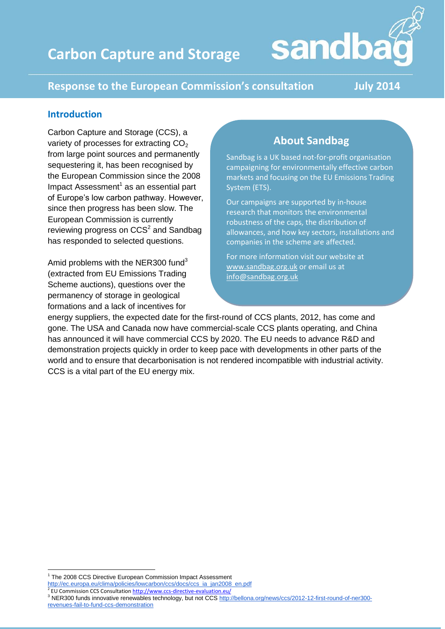# **Carbon Capture and Storage**

# **Response to the European Commission's consultation July 2014**

#### **Introduction**

Carbon Capture and Storage (CCS), a variety of processes for extracting  $CO<sub>2</sub>$ from large point sources and permanently sequestering it, has been recognised by the European Commission since the 2008 Impact Assessment<sup>1</sup> as an essential part of Europe's low carbon pathway. However, since then progress has been slow. The European Commission is currently reviewing progress on  $CCS<sup>2</sup>$  and Sandbag has responded to selected questions.

Amid problems with the NER300 fund<sup>3</sup> (extracted from EU Emissions Trading Scheme auctions), questions over the permanency of storage in geological formations and a lack of incentives for

# **About Sandbag**

sandba

Sandbag is a UK based not-for-profit organisation campaigning for environmentally effective carbon markets and focusing on the EU Emissions Trading System (ETS).

Our campaigns are supported by in-house research that monitors the environmental robustness of the caps, the distribution of allowances, and how key sectors, installations and companies in the scheme are affected.

For more information visit our website at [www.sandbag.org.uk](http://www.sandbag.org.uk/) or email us at [info@sandbag.org.uk](mailto:info@sandbag.org.uk)

energy suppliers, the expected date for the first-round of CCS plants, 2012, has come and gone. The USA and Canada now have commercial-scale CCS plants operating, and China has announced it will have commercial CCS by 2020. The EU needs to advance R&D and demonstration projects quickly in order to keep pace with developments in other parts of the world and to ensure that decarbonisation is not rendered incompatible with industrial activity. CCS is a vital part of the EU energy mix.

 $\overline{\phantom{a}}$ 

<sup>&</sup>lt;sup>1</sup> The 2008 CCS Directive European Commission Impact Assessment [http://ec.europa.eu/clima/policies/lowcarbon/ccs/docs/ccs\\_ia\\_jan2008\\_en.pdf](http://ec.europa.eu/clima/policies/lowcarbon/ccs/docs/ccs_ia_jan2008_en.pdf)<br><sup>2</sup> FU Commission CCS Consultation http://www.ess-disestive.ovplugtion.ov/

EU Commission CCS Consultatio[n http://www.ccs-directive-evaluation.eu/](http://www.ccs-directive-evaluation.eu/)

<sup>3</sup> NER300 funds innovative renewables technology, but not CC[S http://bellona.org/news/ccs/2012-12-first-round-of-ner300](http://bellona.org/news/ccs/2012-12-first-round-of-ner300-revenues-fail-to-fund-ccs-demonstration) [revenues-fail-to-fund-ccs-demonstration](http://bellona.org/news/ccs/2012-12-first-round-of-ner300-revenues-fail-to-fund-ccs-demonstration)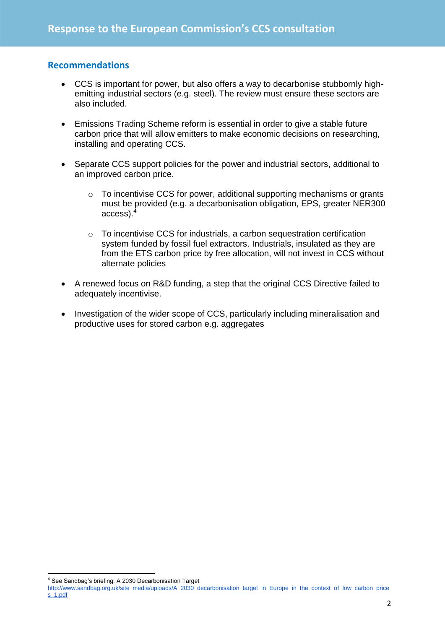### **Recommendations**

- CCS is important for power, but also offers a way to decarbonise stubbornly highemitting industrial sectors (e.g. steel). The review must ensure these sectors are also included.
- Emissions Trading Scheme reform is essential in order to give a stable future carbon price that will allow emitters to make economic decisions on researching, installing and operating CCS.
- Separate CCS support policies for the power and industrial sectors, additional to an improved carbon price.
	- o To incentivise CCS for power, additional supporting mechanisms or grants must be provided (e.g. a decarbonisation obligation, EPS, greater NER300 access).<sup>4</sup>
	- o To incentivise CCS for industrials, a carbon sequestration certification system funded by fossil fuel extractors. Industrials, insulated as they are from the ETS carbon price by free allocation, will not invest in CCS without alternate policies
- A renewed focus on R&D funding, a step that the original CCS Directive failed to adequately incentivise.
- Investigation of the wider scope of CCS, particularly including mineralisation and productive uses for stored carbon e.g. aggregates

 $\overline{a}$  $4$  See Sandbag's briefing: A 2030 Decarbonisation Target

[http://www.sandbag.org.uk/site\\_media/uploads/A\\_2030\\_decarbonisation\\_target\\_in\\_Europe\\_in\\_the\\_context\\_of\\_low\\_carbon\\_price](http://www.sandbag.org.uk/site_media/uploads/A_2030_decarbonisation_target_in_Europe_in_the_context_of_low_carbon_prices_1.pdf) [s\\_1.pdf](http://www.sandbag.org.uk/site_media/uploads/A_2030_decarbonisation_target_in_Europe_in_the_context_of_low_carbon_prices_1.pdf)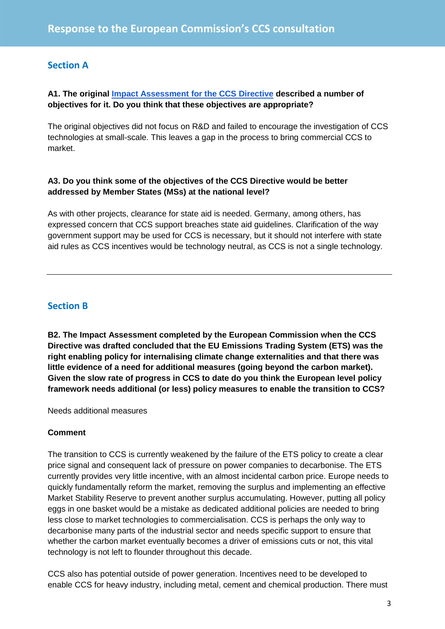# **Section A**

#### **A1. The original [Impact Assessment for the CCS Directive](http://ec.europa.eu/clima/policies/lowcarbon/ccs/docs/ccs_ia_jan2008_en.pdf) described a number of objectives for it. Do you think that these objectives are appropriate?**

The original objectives did not focus on R&D and failed to encourage the investigation of CCS technologies at small-scale. This leaves a gap in the process to bring commercial CCS to market.

#### **A3. Do you think some of the objectives of the CCS Directive would be better addressed by Member States (MSs) at the national level?**

As with other projects, clearance for state aid is needed. Germany, among others, has expressed concern that CCS support breaches state aid guidelines. Clarification of the way government support may be used for CCS is necessary, but it should not interfere with state aid rules as CCS incentives would be technology neutral, as CCS is not a single technology.

# **Section B**

**B2. The Impact Assessment completed by the European Commission when the CCS Directive was drafted concluded that the EU Emissions Trading System (ETS) was the right enabling policy for internalising climate change externalities and that there was little evidence of a need for additional measures (going beyond the carbon market). Given the slow rate of progress in CCS to date do you think the European level policy framework needs additional (or less) policy measures to enable the transition to CCS?** 

Needs additional measures

#### **Comment**

The transition to CCS is currently weakened by the failure of the ETS policy to create a clear price signal and consequent lack of pressure on power companies to decarbonise. The ETS currently provides very little incentive, with an almost incidental carbon price. Europe needs to quickly fundamentally reform the market, removing the surplus and implementing an effective Market Stability Reserve to prevent another surplus accumulating. However, putting all policy eggs in one basket would be a mistake as dedicated additional policies are needed to bring less close to market technologies to commercialisation. CCS is perhaps the only way to decarbonise many parts of the industrial sector and needs specific support to ensure that whether the carbon market eventually becomes a driver of emissions cuts or not, this vital technology is not left to flounder throughout this decade.

CCS also has potential outside of power generation. Incentives need to be developed to enable CCS for heavy industry, including metal, cement and chemical production. There must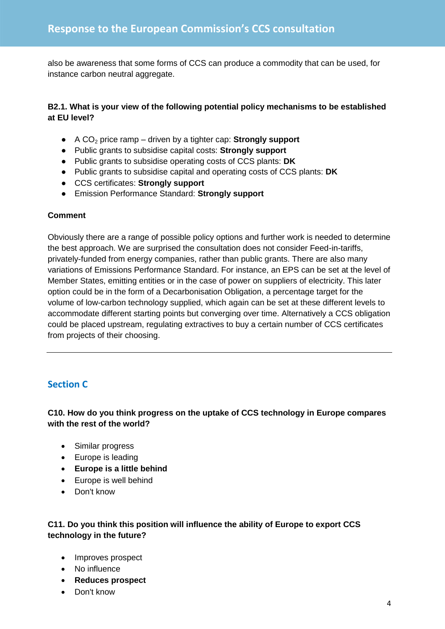also be awareness that some forms of CCS can produce a commodity that can be used, for instance carbon neutral aggregate.

#### **B2.1. What is your view of the following potential policy mechanisms to be established at EU level?**

- A CO<sup>2</sup> price ramp driven by a tighter cap: **Strongly support**
- Public grants to subsidise capital costs: **Strongly support**
- Public grants to subsidise operating costs of CCS plants: **DK**
- Public grants to subsidise capital and operating costs of CCS plants: **DK**
- CCS certificates: **Strongly support**
- Emission Performance Standard: **Strongly support**

#### **Comment**

Obviously there are a range of possible policy options and further work is needed to determine the best approach. We are surprised the consultation does not consider Feed-in-tariffs, privately-funded from energy companies, rather than public grants. There are also many variations of Emissions Performance Standard. For instance, an EPS can be set at the level of Member States, emitting entities or in the case of power on suppliers of electricity. This later option could be in the form of a Decarbonisation Obligation, a percentage target for the volume of low-carbon technology supplied, which again can be set at these different levels to accommodate different starting points but converging over time. Alternatively a CCS obligation could be placed upstream, regulating extractives to buy a certain number of CCS certificates from projects of their choosing.

# **Section C**

#### **C10. How do you think progress on the uptake of CCS technology in Europe compares with the rest of the world?**

- Similar progress
- Europe is leading
- **Europe is a little behind**
- Europe is well behind
- Don't know

#### **C11. Do you think this position will influence the ability of Europe to export CCS technology in the future?**

- Improves prospect
- No influence
- **Reduces prospect**
- Don't know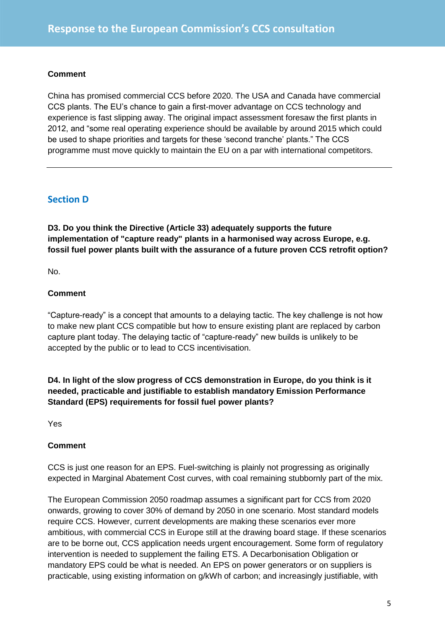#### **Comment**

China has promised commercial CCS before 2020. The USA and Canada have commercial CCS plants. The EU's chance to gain a first-mover advantage on CCS technology and experience is fast slipping away. The original impact assessment foresaw the first plants in 2012, and "some real operating experience should be available by around 2015 which could be used to shape priorities and targets for these 'second tranche' plants." The CCS programme must move quickly to maintain the EU on a par with international competitors.

# **Section D**

**D3. Do you think the Directive (Article 33) adequately supports the future implementation of "capture ready" plants in a harmonised way across Europe, e.g. fossil fuel power plants built with the assurance of a future proven CCS retrofit option?**

No.

#### **Comment**

"Capture-ready" is a concept that amounts to a delaying tactic. The key challenge is not how to make new plant CCS compatible but how to ensure existing plant are replaced by carbon capture plant today. The delaying tactic of "capture-ready" new builds is unlikely to be accepted by the public or to lead to CCS incentivisation.

**D4. In light of the slow progress of CCS demonstration in Europe, do you think is it needed, practicable and justifiable to establish mandatory Emission Performance Standard (EPS) requirements for fossil fuel power plants?**

Yes

#### **Comment**

CCS is just one reason for an EPS. Fuel-switching is plainly not progressing as originally expected in Marginal Abatement Cost curves, with coal remaining stubbornly part of the mix.

The European Commission 2050 roadmap assumes a significant part for CCS from 2020 onwards, growing to cover 30% of demand by 2050 in one scenario. Most standard models require CCS. However, current developments are making these scenarios ever more ambitious, with commercial CCS in Europe still at the drawing board stage. If these scenarios are to be borne out, CCS application needs urgent encouragement. Some form of regulatory intervention is needed to supplement the failing ETS. A Decarbonisation Obligation or mandatory EPS could be what is needed. An EPS on power generators or on suppliers is practicable, using existing information on g/kWh of carbon; and increasingly justifiable, with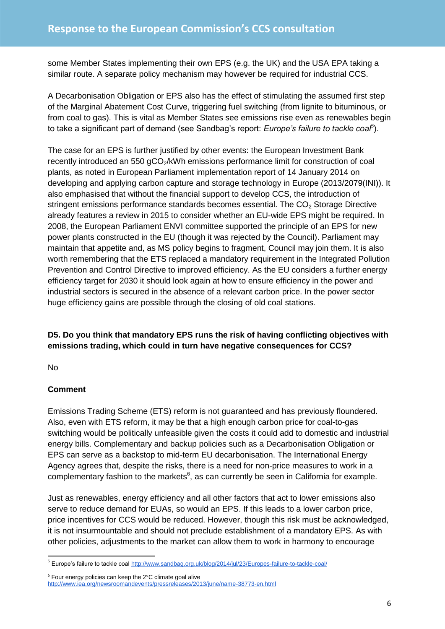some Member States implementing their own EPS (e.g. the UK) and the USA EPA taking a similar route. A separate policy mechanism may however be required for industrial CCS.

A Decarbonisation Obligation or EPS also has the effect of stimulating the assumed first step of the Marginal Abatement Cost Curve, triggering fuel switching (from lignite to bituminous, or from coal to gas). This is vital as Member States see emissions rise even as renewables begin to take a significant part of demand (see Sandbag's report: *Europe's failure to tackle coal<sup>5</sup>* ).

The case for an EPS is further justified by other events: the European Investment Bank recently introduced an 550 gCO<sub>2</sub>/kWh emissions performance limit for construction of coal plants, as noted in European Parliament implementation report of 14 January 2014 on developing and applying carbon capture and storage technology in Europe (2013/2079(INI)). It also emphasised that without the financial support to develop CCS, the introduction of stringent emissions performance standards becomes essential. The  $CO<sub>2</sub>$  Storage Directive already features a review in 2015 to consider whether an EU-wide EPS might be required. In 2008, the European Parliament ENVI committee supported the principle of an EPS for new power plants constructed in the EU (though it was rejected by the Council). Parliament may maintain that appetite and, as MS policy begins to fragment, Council may join them. It is also worth remembering that the ETS replaced a mandatory requirement in the Integrated Pollution Prevention and Control Directive to improved efficiency. As the EU considers a further energy efficiency target for 2030 it should look again at how to ensure efficiency in the power and industrial sectors is secured in the absence of a relevant carbon price. In the power sector huge efficiency gains are possible through the closing of old coal stations.

#### **D5. Do you think that mandatory EPS runs the risk of having conflicting objectives with emissions trading, which could in turn have negative consequences for CCS?**

No

# **Comment**

Emissions Trading Scheme (ETS) reform is not guaranteed and has previously floundered. Also, even with ETS reform, it may be that a high enough carbon price for coal-to-gas switching would be politically unfeasible given the costs it could add to domestic and industrial energy bills. Complementary and backup policies such as a Decarbonisation Obligation or EPS can serve as a backstop to mid-term EU decarbonisation. The International Energy Agency agrees that, despite the risks, there is a need for non-price measures to work in a complementary fashion to the markets<sup>6</sup>, as can currently be seen in California for example.

Just as renewables, energy efficiency and all other factors that act to lower emissions also serve to reduce demand for EUAs, so would an EPS. If this leads to a lower carbon price, price incentives for CCS would be reduced. However, though this risk must be acknowledged, it is not insurmountable and should not preclude establishment of a mandatory EPS. As with other policies, adjustments to the market can allow them to work in harmony to encourage

 $6$  Four energy policies can keep the  $2^{\circ}$ C climate goal alive <http://www.iea.org/newsroomandevents/pressreleases/2013/june/name-38773-en.html>

 $\overline{\phantom{a}}$ <sup>5</sup> Europe's failure to tackle coa[l http://www.sandbag.org.uk/blog/2014/jul/23/Europes-failure-to-tackle-coal/](http://www.sandbag.org.uk/blog/2014/jul/23/Europes-failure-to-tackle-coal/)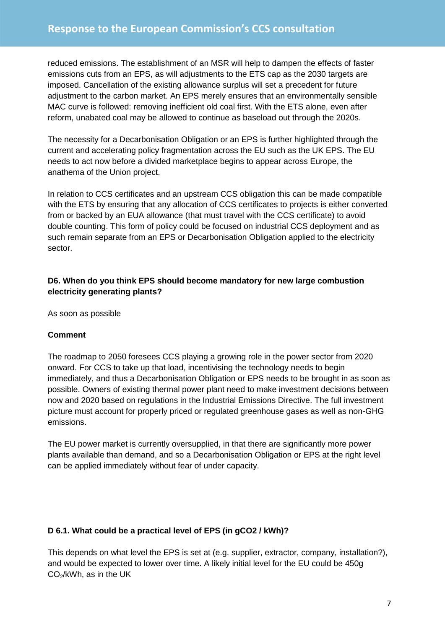reduced emissions. The establishment of an MSR will help to dampen the effects of faster emissions cuts from an EPS, as will adjustments to the ETS cap as the 2030 targets are imposed. Cancellation of the existing allowance surplus will set a precedent for future adjustment to the carbon market. An EPS merely ensures that an environmentally sensible MAC curve is followed: removing inefficient old coal first. With the ETS alone, even after reform, unabated coal may be allowed to continue as baseload out through the 2020s.

The necessity for a Decarbonisation Obligation or an EPS is further highlighted through the current and accelerating policy fragmentation across the EU such as the UK EPS. The EU needs to act now before a divided marketplace begins to appear across Europe, the anathema of the Union project.

In relation to CCS certificates and an upstream CCS obligation this can be made compatible with the ETS by ensuring that any allocation of CCS certificates to projects is either converted from or backed by an EUA allowance (that must travel with the CCS certificate) to avoid double counting. This form of policy could be focused on industrial CCS deployment and as such remain separate from an EPS or Decarbonisation Obligation applied to the electricity sector.

#### **D6. When do you think EPS should become mandatory for new large combustion electricity generating plants?**

As soon as possible

#### **Comment**

The roadmap to 2050 foresees CCS playing a growing role in the power sector from 2020 onward. For CCS to take up that load, incentivising the technology needs to begin immediately, and thus a Decarbonisation Obligation or EPS needs to be brought in as soon as possible. Owners of existing thermal power plant need to make investment decisions between now and 2020 based on regulations in the Industrial Emissions Directive. The full investment picture must account for properly priced or regulated greenhouse gases as well as non-GHG emissions.

The EU power market is currently oversupplied, in that there are significantly more power plants available than demand, and so a Decarbonisation Obligation or EPS at the right level can be applied immediately without fear of under capacity.

#### **D 6.1. What could be a practical level of EPS (in gCO2 / kWh)?**

This depends on what level the EPS is set at (e.g. supplier, extractor, company, installation?), and would be expected to lower over time. A likely initial level for the EU could be 450g  $CO<sub>2</sub>/kWh$ , as in the UK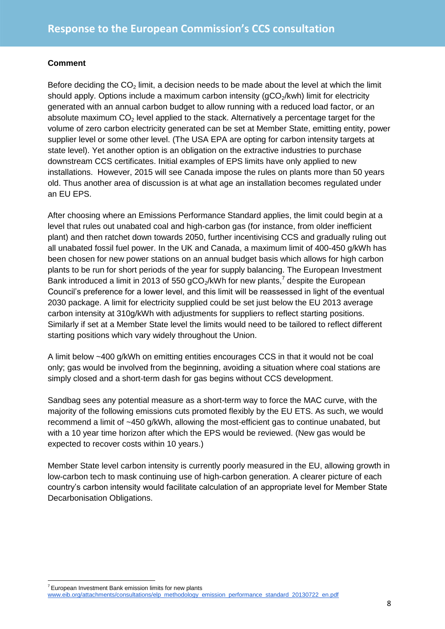#### **Comment**

Before deciding the  $CO<sub>2</sub>$  limit, a decision needs to be made about the level at which the limit should apply. Options include a maximum carbon intensity  $(qCO<sub>2</sub>/kwh)$  limit for electricity generated with an annual carbon budget to allow running with a reduced load factor, or an absolute maximum  $CO<sub>2</sub>$  level applied to the stack. Alternatively a percentage target for the volume of zero carbon electricity generated can be set at Member State, emitting entity, power supplier level or some other level. (The USA EPA are opting for carbon intensity targets at state level). Yet another option is an obligation on the extractive industries to purchase downstream CCS certificates. Initial examples of EPS limits have only applied to new installations. However, 2015 will see Canada impose the rules on plants more than 50 years old. Thus another area of discussion is at what age an installation becomes regulated under an EU EPS.

After choosing where an Emissions Performance Standard applies, the limit could begin at a level that rules out unabated coal and high-carbon gas (for instance, from older inefficient plant) and then ratchet down towards 2050, further incentivising CCS and gradually ruling out all unabated fossil fuel power. In the UK and Canada, a maximum limit of 400-450 g/kWh has been chosen for new power stations on an annual budget basis which allows for high carbon plants to be run for short periods of the year for supply balancing. The European Investment Bank introduced a limit in 2013 of 550 gCO<sub>2</sub>/kWh for new plants,<sup>7</sup> despite the European Council's preference for a lower level, and this limit will be reassessed in light of the eventual 2030 package. A limit for electricity supplied could be set just below the EU 2013 average carbon intensity at 310g/kWh with adjustments for suppliers to reflect starting positions. Similarly if set at a Member State level the limits would need to be tailored to reflect different starting positions which vary widely throughout the Union.

A limit below ~400 g/kWh on emitting entities encourages CCS in that it would not be coal only; gas would be involved from the beginning, avoiding a situation where coal stations are simply closed and a short-term dash for gas begins without CCS development.

Sandbag sees any potential measure as a short-term way to force the MAC curve, with the majority of the following emissions cuts promoted flexibly by the EU ETS. As such, we would recommend a limit of ~450 g/kWh, allowing the most-efficient gas to continue unabated, but with a 10 year time horizon after which the EPS would be reviewed. (New gas would be expected to recover costs within 10 years.)

Member State level carbon intensity is currently poorly measured in the EU, allowing growth in low-carbon tech to mask continuing use of high-carbon generation. A clearer picture of each country's carbon intensity would facilitate calculation of an appropriate level for Member State Decarbonisation Obligations.

 $\overline{\phantom{a}}$  $7$  European Inve[s](http://www.eib.org/attachments/consultations/elp_methodology_emission_performance_standard_20130722_en.pdf)tment Bank emission limits for new plants [www.eib.org/attachments/consultations/elp\\_methodology\\_emission\\_performance\\_standard\\_20130722\\_en.pdf](http://www.eib.org/attachments/consultations/elp_methodology_emission_performance_standard_20130722_en.pdf)